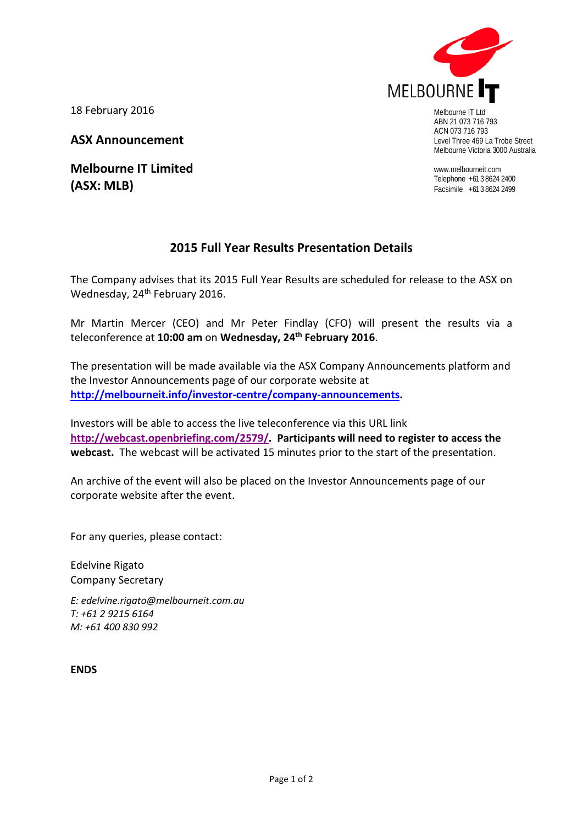

ABN 21 073 716 793 ACN 073 716 793 Level Three 469 La Trobe Street Melbourne Victoria 3000 Australia

www.melbourneit.com Telephone +61 3 8624 2400 Facsimile +61 3 8624 2499

18 February 2016

**ASX Announcement**

**Melbourne IT Limited (ASX: MLB)**

## **2015 Full Year Results Presentation Details**

The Company advises that its 2015 Full Year Results are scheduled for release to the ASX on Wednesday, 24<sup>th</sup> February 2016.

Mr Martin Mercer (CEO) and Mr Peter Findlay (CFO) will present the results via a teleconference at **10:00 am** on **Wednesday, 24th February 2016**.

The presentation will be made available via the ASX Company Announcements platform and the Investor Announcements page of our corporate website at **[http://melbourneit.info/investor-centre/company-announcements.](http://melbourneit.info/investor-centre/company-announcements)**

Investors will be able to access the live teleconference via this URL link **[http://webcast.openbriefing.com/2579/.](http://webcast.openbriefing.com/2579/) Participants will need to register to access the webcast.** The webcast will be activated 15 minutes prior to the start of the presentation.

An archive of the event will also be placed on the Investor Announcements page of our corporate website after the event.

For any queries, please contact:

Edelvine Rigato Company Secretary

*E: [edelvine.rigato@melbourneit.com.au](mailto:edelvine.rigato@melbourneit.com.au) T: +61 2 9215 6164 M: +61 400 830 992*

**ENDS**